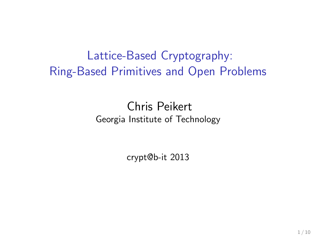Lattice-Based Cryptography: Ring-Based Primitives and Open Problems

> Chris Peikert Georgia Institute of Technology

> > crypt@b-it 2013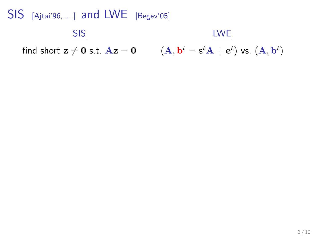#### $SIS$  [Ajtai'96,...] and LWE [Regev'05] **SIS** find short  $\mathbf{z} \neq \mathbf{0}$  s.t.  $\mathbf{A}\mathbf{z} = \mathbf{0}$   $(\mathbf{A}, \mathbf{b}^t = \mathbf{s}^t\mathbf{A} + \mathbf{e}^t)$  vs.  $(\mathbf{A}, \mathbf{b}^t)$ LWE

 $2/10$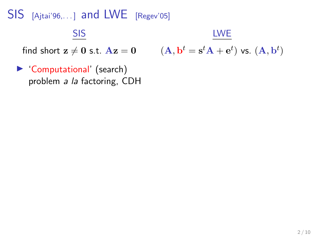#### $SIS$  [Ajtai'96,...] and LWE [Regev'05] SIS find short  $z \neq 0$  s.t.  $Az = 0$ LWE  $(\mathbf{A},\mathbf{b}^t=\mathbf{s}^t\mathbf{A}+\mathbf{e}^t)$  vs.  $(\mathbf{A},\mathbf{b}^t)$

▶ 'Computational' (search) problem a la factoring, CDH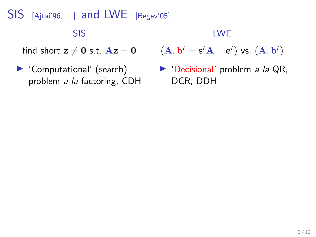#### SIS

find short  $z \neq 0$  s.t.  $Az = 0$ 

▶ 'Computational' (search) problem a la factoring, CDH LWE

$$
(\mathbf{A},\mathbf{b}^t=\mathbf{s}^t\mathbf{A}+\mathbf{e}^t) \text{ vs. } (\mathbf{A},\mathbf{b}^t)
$$

 $\blacktriangleright$  'Decisional' problem *a la* QR, DCR, DDH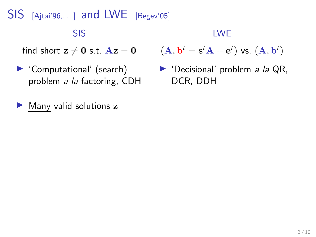#### SIS

find short  $z \neq 0$  s.t.  $Az = 0$ 

- ▶ 'Computational' (search) problem a la factoring, CDH
- $\blacktriangleright$  Many valid solutions  $z$

LWE

$$
(\mathbf{A},\mathbf{b}^t=\mathbf{s}^t\mathbf{A}+\mathbf{e}^t) \text{ vs. } (\mathbf{A},\mathbf{b}^t)
$$

 $\blacktriangleright$  'Decisional' problem *a la* QR, DCR, DDH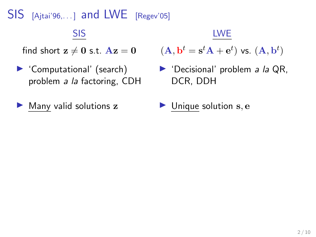#### SIS

find short  $z \neq 0$  s.t.  $Az = 0$ 

- ▶ 'Computational' (search) problem a la factoring, CDH
- $\blacktriangleright$  Many valid solutions z

LWE

$$
(\mathbf{A},\mathbf{b}^t=\mathbf{s}^t\mathbf{A}+\mathbf{e}^t) \text{ vs. } (\mathbf{A},\mathbf{b}^t)
$$

- $\blacktriangleright$  'Decisional' problem *a la* QR, DCR, DDH
- $\blacktriangleright$  Unique solution s, e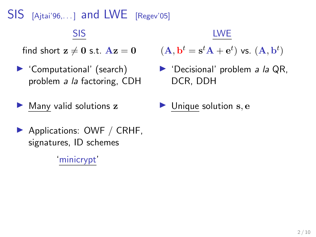#### SIS

find short  $z \neq 0$  s.t.  $Az = 0$ 

- $\blacktriangleright$  'Computational' (search) problem a la factoring, CDH
- $\blacktriangleright$  Many valid solutions z
- ▶ Applications: OWF / CRHF, signatures, ID schemes

'minicrypt'

#### LWE

$$
(\mathbf{A},\mathbf{b}^t=\mathbf{s}^t\mathbf{A}+\mathbf{e}^t) \text{ vs. } (\mathbf{A},\mathbf{b}^t)
$$

- $\blacktriangleright$  'Decisional' problem *a la* QR, DCR, DDH
- $\blacktriangleright$  Unique solution s, e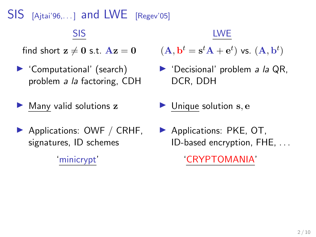$\overline{S}$  [Ajtai'96,...] and LWE [Regev'05]

#### SIS

find short  $z \neq 0$  s.t.  $Az = 0$ 

- $\blacktriangleright$  'Computational' (search) problem a la factoring, CDH
- $\blacktriangleright$  Many valid solutions  $z$
- $\blacktriangleright$  Applications: OWF / CRHF, signatures, ID schemes

'minicrypt'

LWE

$$
(\mathbf{A},\mathbf{b}^t=\mathbf{s}^t\mathbf{A}+\mathbf{e}^t) \text{ vs. } (\mathbf{A},\mathbf{b}^t)
$$

- $\blacktriangleright$  'Decisional' problem *a la* QR, DCR, DDH
- $\blacktriangleright$  Unique solution s, e
- $\blacktriangleright$  Applications: PKE, OT, ID-based encryption, FHE, . . .

'CRYPTOMANIA'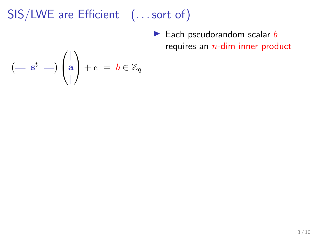# SIS/LWE are Efficient (...sort of)

 $\blacktriangleright$  Each pseudorandom scalar  $b$ requires an  $n$ -dim inner product

$$
(- \; \; \mathrm{s}^t \; -)\left(\begin{matrix} \vert \\ \mathrm{a} \\ \vert \end{matrix}\right) + e \; = \; b \in \mathbb{Z}_q
$$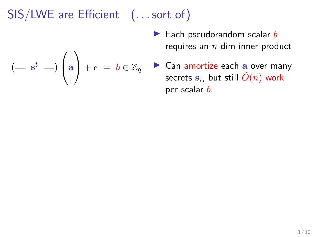# SIS/LWE are Efficient (...sort of)

 $(-s^t - )$ 

 $\sqrt{ }$  $\mathcal{L}$ 

| a |

 $\setminus$ 

- $\blacktriangleright$  Each pseudorandom scalar  $b$ requires an  $n$ -dim inner product
- $+ e = b \in \mathbb{Z}_q$ ▶ Can amortize each a over many secrets  $\mathbf{s}_i$ , but still  $\tilde{O}(n)$  work per scalar  $b$ .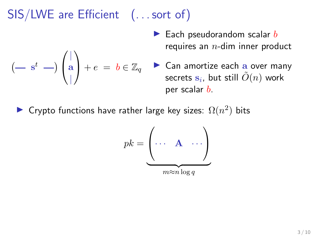# SIS/LWE are Efficient (...sort of)

 $+ e = b \in \mathbb{Z}_q$ 

 $(-s^t - )$ 

 $\sqrt{ }$  $\mathcal{L}$ 

| a |

 $\setminus$ 

- $\blacktriangleright$  Each pseudorandom scalar  $b$ requires an  $n$ -dim inner product
- ▶ Can amortize each a over many secrets  $\mathbf{s}_i$ , but still  $\tilde{O}(n)$  work per scalar  $b$ .
- ► Crypto functions have rather large key sizes:  $\Omega(n^2)$  bits

$$
pk = \underbrace{\begin{pmatrix} \dots & \mathbf{A} & \dots \\ \dots & \mathbf{A} & \dots \\ \dots & \dots \\ \dots & \dots \\ \dots & \dots \end{pmatrix}}_{m \approx n \log q}
$$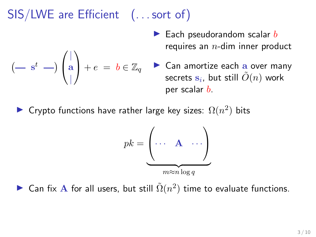# SIS/LWE are Efficient (... sort of)

 $+ e = b \in \mathbb{Z}_q$ 

 $(-s^t - )$ 

 $\sqrt{ }$  $\mathcal{L}$ 

| a |

 $\setminus$ 

- $\blacktriangleright$  Each pseudorandom scalar  $b$ requires an  $n$ -dim inner product
- $\triangleright$  Can amortize each a over many secrets  $\mathbf{s}_i$ , but still  $\tilde{O}(n)$  work per scalar  $b$ .
- ► Crypto functions have rather large key sizes:  $\Omega(n^2)$  bits

$$
pk = \underbrace{\begin{pmatrix} \dots & \mathbf{A} & \dots \\ \dots & \mathbf{A} & \dots \\ \dots & \dots \\ \dots & \dots \\ \dots & \dots \end{pmatrix}}_{m \approx n \log q}
$$

► Can fix A for all users, but still  $\tilde{\Omega}(n^2)$  time to evaluate functions.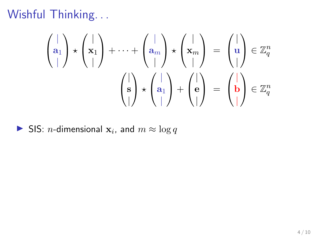$$
\begin{pmatrix} | \\ \mathbf{a}_1 \\ | \end{pmatrix} \star \begin{pmatrix} | \\ \mathbf{x}_1 \\ | \end{pmatrix} + \dots + \begin{pmatrix} | \\ \mathbf{a}_m \\ | \end{pmatrix} \star \begin{pmatrix} | \\ \mathbf{x}_m \\ | \end{pmatrix} = \begin{pmatrix} | \\ \mathbf{u} \\ | \end{pmatrix} \in \mathbb{Z}_q^n
$$

$$
\begin{pmatrix} | \\ \mathbf{s} \\ | \end{pmatrix} \star \begin{pmatrix} | \\ \mathbf{a}_1 \\ | \end{pmatrix} + \begin{pmatrix} | \\ \mathbf{e} \\ | \end{pmatrix} = \begin{pmatrix} | \\ \mathbf{b} \\ | \end{pmatrix} \in \mathbb{Z}_q^n
$$

SIS: *n*-dimensional  $x_i$ , and  $m \approx \log q$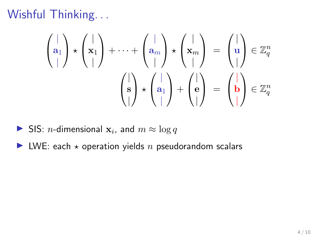$$
\begin{pmatrix} | \\ \mathbf{a}_1 \\ | \end{pmatrix} \star \begin{pmatrix} | \\ \mathbf{x}_1 \\ | \end{pmatrix} + \dots + \begin{pmatrix} | \\ \mathbf{a}_m \\ | \end{pmatrix} \star \begin{pmatrix} | \\ \mathbf{x}_m \\ | \end{pmatrix} = \begin{pmatrix} | \\ \mathbf{u} \\ | \end{pmatrix} \in \mathbb{Z}_q^n
$$

$$
\begin{pmatrix} | \\ \mathbf{s} \\ | \end{pmatrix} \star \begin{pmatrix} | \\ \mathbf{a}_1 \\ | \end{pmatrix} + \begin{pmatrix} | \\ \mathbf{e} \\ | \end{pmatrix} = \begin{pmatrix} | \\ \mathbf{b} \\ | \end{pmatrix} \in \mathbb{Z}_q^n
$$

- SIS: *n*-dimensional  $x_i$ , and  $m \approx \log q$
- $\blacktriangleright$  LWE: each  $\star$  operation yields n pseudorandom scalars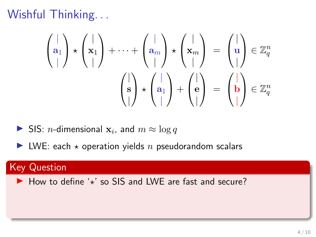$$
\begin{pmatrix} | \\ \mathbf{a}_1 \\ | \end{pmatrix} \star \begin{pmatrix} | \\ \mathbf{x}_1 \\ | \end{pmatrix} + \dots + \begin{pmatrix} | \\ \mathbf{a}_m \\ | \end{pmatrix} \star \begin{pmatrix} | \\ \mathbf{x}_m \\ | \end{pmatrix} = \begin{pmatrix} | \\ \mathbf{u} \\ | \end{pmatrix} \in \mathbb{Z}_q^n
$$

$$
\begin{pmatrix} | \\ \mathbf{s} \\ | \end{pmatrix} \star \begin{pmatrix} | \\ \mathbf{a}_1 \\ | \end{pmatrix} + \begin{pmatrix} | \\ \mathbf{e} \\ | \end{pmatrix} = \begin{pmatrix} | \\ \mathbf{b} \\ | \end{pmatrix} \in \mathbb{Z}_q^n
$$

- SIS: *n*-dimensional  $x_i$ , and  $m \approx \log q$
- $\blacktriangleright$  LWE: each  $\star$  operation yields n pseudorandom scalars

#### **Key Question**

 $\blacktriangleright$  How to define ' $\star$ ' so SIS and LWE are fast and secure?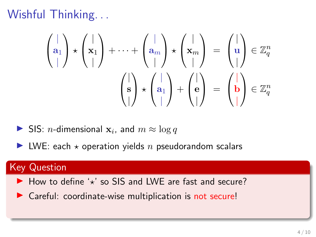$$
\begin{pmatrix} | \\ \mathbf{a}_1 \\ | \end{pmatrix} \star \begin{pmatrix} | \\ \mathbf{x}_1 \\ | \end{pmatrix} + \dots + \begin{pmatrix} | \\ \mathbf{a}_m \\ | \end{pmatrix} \star \begin{pmatrix} | \\ \mathbf{x}_m \\ | \end{pmatrix} = \begin{pmatrix} | \\ \mathbf{u} \\ | \end{pmatrix} \in \mathbb{Z}_q^n
$$

$$
\begin{pmatrix} | \\ \mathbf{s} \\ | \end{pmatrix} \star \begin{pmatrix} | \\ \mathbf{a}_1 \\ | \end{pmatrix} + \begin{pmatrix} | \\ \mathbf{e} \\ | \end{pmatrix} = \begin{pmatrix} | \\ \mathbf{b} \\ | \end{pmatrix} \in \mathbb{Z}_q^n
$$

- SIS: *n*-dimensional  $x_i$ , and  $m \approx \log q$
- $\blacktriangleright$  LWE: each  $\star$  operation yields n pseudorandom scalars

#### **Key Question**

- $\blacktriangleright$  How to define ' $\star$ ' so SIS and LWE are fast and secure?
- $\triangleright$  Careful: coordinate-wise multiplication is not secure!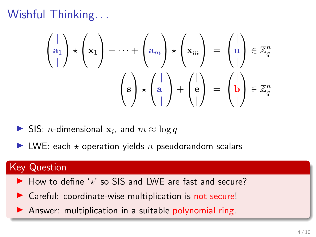$$
\begin{pmatrix} | \\ \mathbf{a}_1 \\ | \end{pmatrix} \star \begin{pmatrix} | \\ \mathbf{x}_1 \\ | \end{pmatrix} + \dots + \begin{pmatrix} | \\ \mathbf{a}_m \\ | \end{pmatrix} \star \begin{pmatrix} | \\ \mathbf{x}_m \\ | \end{pmatrix} = \begin{pmatrix} | \\ \mathbf{u} \\ | \end{pmatrix} \in \mathbb{Z}_q^n
$$

$$
\begin{pmatrix} | \\ \mathbf{s} \\ | \end{pmatrix} \star \begin{pmatrix} | \\ \mathbf{a}_1 \\ | \end{pmatrix} + \begin{pmatrix} | \\ \mathbf{e} \\ | \end{pmatrix} = \begin{pmatrix} | \\ \mathbf{b} \\ | \end{pmatrix} \in \mathbb{Z}_q^n
$$

- SIS: *n*-dimensional  $x_i$ , and  $m \approx \log q$
- $\blacktriangleright$  LWE: each  $\star$  operation yields n pseudorandom scalars

#### Key Question

- $\blacktriangleright$  How to define ' $\star$ ' so SIS and LWE are fast and secure?
- $\triangleright$  Careful: coordinate-wise multiplication is not secure!
- $\blacktriangleright$  Answer: multiplication in a suitable polynomial ring.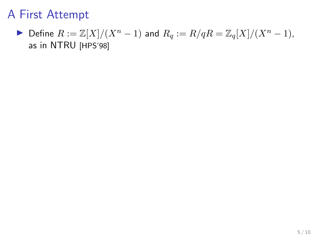$\blacktriangleright$  Define  $R := \mathbb{Z}[X]/(X^n - 1)$  and  $R_q := R/qR = \mathbb{Z}_q[X]/(X^n - 1)$ , as in NTRU [HPS'98]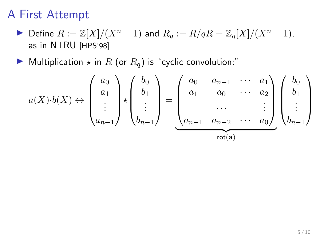- $\blacktriangleright$  Define  $R := \mathbb{Z}[X]/(X^n 1)$  and  $R_q := R/qR = \mathbb{Z}_q[X]/(X^n 1)$ , as in NTRU [HPS'98]
- $\blacktriangleright$  Multiplication  $\star$  in R (or  $R_q$ ) is "cyclic convolution:"

$$
a(X) \cdot b(X) \leftrightarrow \begin{pmatrix} a_0 \\ a_1 \\ \vdots \\ a_{n-1} \end{pmatrix} \star \begin{pmatrix} b_0 \\ b_1 \\ \vdots \\ b_{n-1} \end{pmatrix} = \underbrace{\begin{pmatrix} a_0 & a_{n-1} & \cdots & a_1 \\ a_1 & a_0 & \cdots & a_2 \\ \vdots & \ddots & \vdots \\ a_{n-1} & a_{n-2} & \cdots & a_0 \end{pmatrix}}_{\text{rot(a)}} \begin{pmatrix} b_0 \\ b_1 \\ \vdots \\ b_{n-1} \end{pmatrix}
$$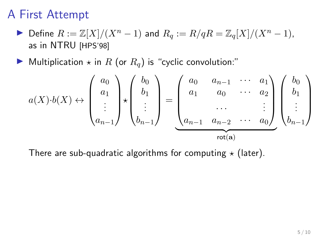- $\blacktriangleright$  Define  $R := \mathbb{Z}[X]/(X^n 1)$  and  $R_q := R/qR = \mathbb{Z}_q[X]/(X^n 1)$ , as in NTRU [HPS'98]
- $\blacktriangleright$  Multiplication  $\star$  in R (or  $R_q$ ) is "cyclic convolution:"

$$
a(X) \cdot b(X) \leftrightarrow \begin{pmatrix} a_0 \\ a_1 \\ \vdots \\ a_{n-1} \end{pmatrix} \star \begin{pmatrix} b_0 \\ b_1 \\ \vdots \\ b_{n-1} \end{pmatrix} = \underbrace{\begin{pmatrix} a_0 & a_{n-1} & \cdots & a_1 \\ a_1 & a_0 & \cdots & a_2 \\ \vdots & \ddots & \vdots \\ a_{n-1} & a_{n-2} & \cdots & a_0 \end{pmatrix}}_{\text{rot}(a)} \begin{pmatrix} b_0 \\ b_1 \\ \vdots \\ b_{n-1} \end{pmatrix}
$$

There are sub-quadratic algorithms for computing  $\star$  (later).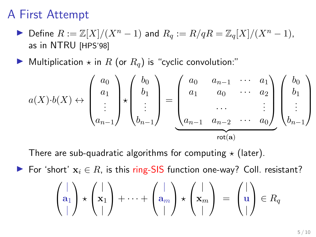- $\triangleright$  Define  $R := \mathbb{Z}[X]/(X^n 1)$  and  $R_q := R/qR = \mathbb{Z}_q[X]/(X^n 1)$ , as in NTRU [HPS'98]
- $\blacktriangleright$  Multiplication  $\star$  in R (or  $R_q$ ) is "cyclic convolution:"

$$
a(X) \cdot b(X) \leftrightarrow \begin{pmatrix} a_0 \\ a_1 \\ \vdots \\ a_{n-1} \end{pmatrix} \star \begin{pmatrix} b_0 \\ b_1 \\ \vdots \\ b_{n-1} \end{pmatrix} = \underbrace{\begin{pmatrix} a_0 & a_{n-1} & \cdots & a_1 \\ a_1 & a_0 & \cdots & a_2 \\ \vdots & \ddots & \vdots \\ a_{n-1} & a_{n-2} & \cdots & a_0 \end{pmatrix}}_{\text{rot}(a)} \begin{pmatrix} b_0 \\ b_1 \\ \vdots \\ b_{n-1} \end{pmatrix}
$$

There are sub-quadratic algorithms for computing  $\star$  (later).

For 'short'  $x_i \in R$ , is this ring-SIS function one-way? Coll. resistant?

$$
\begin{pmatrix} | \\ \mathbf{a}_1 \\ | \end{pmatrix} \star \begin{pmatrix} | \\ \mathbf{x}_1 \\ | \end{pmatrix} + \cdots + \begin{pmatrix} | \\ \mathbf{a}_m \\ | \end{pmatrix} \star \begin{pmatrix} | \\ \mathbf{x}_m \\ | \end{pmatrix} = \begin{pmatrix} | \\ \mathbf{u} \\ | \end{pmatrix} \in R_q
$$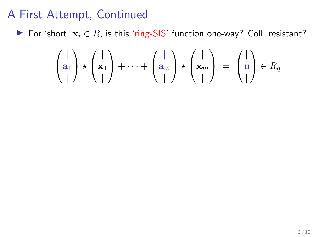For 'short'  $x_i$  ∈ R, is this 'ring-SIS' function one-way? Coll. resistant?

$$
\begin{pmatrix} | \\ \mathbf{a}_1 \\ | \end{pmatrix} \star \begin{pmatrix} | \\ \mathbf{x}_1 \\ | \end{pmatrix} + \cdots + \begin{pmatrix} | \\ \mathbf{a}_m \\ | \end{pmatrix} \star \begin{pmatrix} | \\ \mathbf{x}_m \\ | \end{pmatrix} = \begin{pmatrix} | \\ \mathbf{u} \\ | \end{pmatrix} \in R_q
$$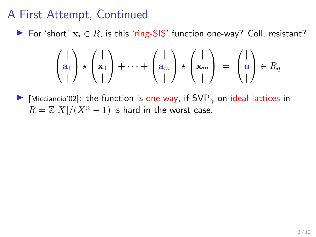$\triangleright$  For 'short'  $x_i \in R$ , is this 'ring-SIS' function one-way? Coll. resistant?

$$
\begin{pmatrix} | \\ \mathbf{a}_1 \\ | \end{pmatrix} \star \begin{pmatrix} | \\ \mathbf{x}_1 \\ | \end{pmatrix} + \cdots + \begin{pmatrix} | \\ \mathbf{a}_m \\ | \end{pmatrix} \star \begin{pmatrix} | \\ \mathbf{x}_m \\ | \end{pmatrix} = \begin{pmatrix} | \\ \mathbf{u} \\ | \end{pmatrix} \in R_q
$$

I [Micciancio'02]: the function is one-way, if  $SVP_{\gamma}$  on ideal lattices in  $R = \mathbb{Z}[X]/(X^n - 1)$  is hard in the worst case.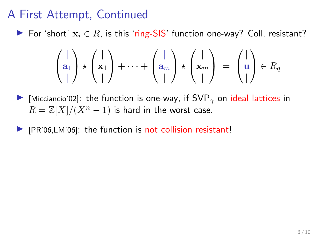For 'short'  $x_i \in R$ , is this 'ring-SIS' function one-way? Coll. resistant?

$$
\begin{pmatrix} | \\ \mathbf{a}_1 \\ | \end{pmatrix} \star \begin{pmatrix} | \\ \mathbf{x}_1 \\ | \end{pmatrix} + \cdots + \begin{pmatrix} | \\ \mathbf{a}_m \\ | \end{pmatrix} \star \begin{pmatrix} | \\ \mathbf{x}_m \\ | \end{pmatrix} = \begin{pmatrix} | \\ \mathbf{u} \\ | \end{pmatrix} \in R_q
$$

- I Micciancio'02]: the function is one-way, if  $SVP_{\gamma}$  on ideal lattices in  $R = \mathbb{Z}[X]/(X^n - 1)$  is hard in the worst case.
- $\blacktriangleright$  [PR'06,LM'06]: the function is not collision resistant!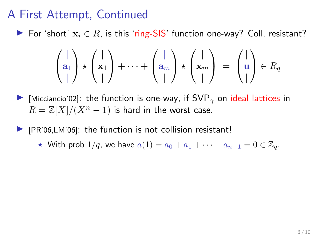For 'short'  $x_i \in R$ , is this 'ring-SIS' function one-way? Coll. resistant?

$$
\begin{pmatrix} | \\ \mathbf{a}_1 \\ | \end{pmatrix} \star \begin{pmatrix} | \\ \mathbf{x}_1 \\ | \end{pmatrix} + \cdots + \begin{pmatrix} | \\ \mathbf{a}_m \\ | \end{pmatrix} \star \begin{pmatrix} | \\ \mathbf{x}_m \\ | \end{pmatrix} = \begin{pmatrix} | \\ \mathbf{u} \\ | \end{pmatrix} \in R_q
$$

I Micciancio'02]: the function is one-way, if  $SVP_{\gamma}$  on ideal lattices in  $R = \mathbb{Z}[X]/(X^n - 1)$  is hard in the worst case.

 $\blacktriangleright$  [PR'06,LM'06]: the function is not collision resistant!

★ With prob  $1/q$ , we have  $a(1) = a_0 + a_1 + \cdots + a_{n-1} = 0 \in \mathbb{Z}_q$ .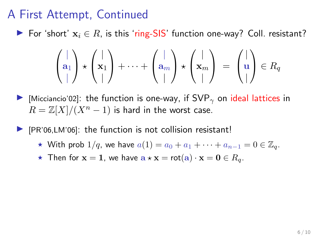**For 'short'**  $x_i$  ∈ R, is this 'ring-SIS' function one-way? Coll. resistant?

$$
\begin{pmatrix} | \\ \mathbf{a}_1 \\ | \end{pmatrix} \star \begin{pmatrix} | \\ \mathbf{x}_1 \\ | \end{pmatrix} + \cdots + \begin{pmatrix} | \\ \mathbf{a}_m \\ | \end{pmatrix} \star \begin{pmatrix} | \\ \mathbf{x}_m \\ | \end{pmatrix} = \begin{pmatrix} | \\ \mathbf{u} \\ | \end{pmatrix} \in R_q
$$

I Micciancio'02]: the function is one-way, if  $SVP_{\gamma}$  on ideal lattices in  $R = \mathbb{Z}[X]/(X^n - 1)$  is hard in the worst case.

[PR'06,LM'06]: the function is not collision resistant!

- ★ With prob  $1/q$ , we have  $a(1) = a_0 + a_1 + \cdots + a_{n-1} = 0 \in \mathbb{Z}_q$ .
- $\star$  Then for  $\mathbf{x} = \mathbf{1}$ , we have  $\mathbf{a} \star \mathbf{x} = \text{rot}(\mathbf{a}) \cdot \mathbf{x} = \mathbf{0} \in R_q$ .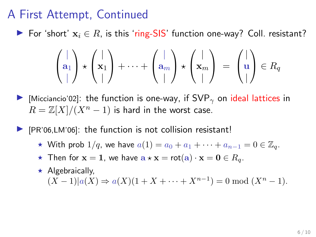**For 'short'**  $x_i$  ∈ R, is this 'ring-SIS' function one-way? Coll. resistant?

$$
\begin{pmatrix} | \\ \mathbf{a}_1 \\ | \end{pmatrix} \star \begin{pmatrix} | \\ \mathbf{x}_1 \\ | \end{pmatrix} + \cdots + \begin{pmatrix} | \\ \mathbf{a}_m \\ | \end{pmatrix} \star \begin{pmatrix} | \\ \mathbf{x}_m \\ | \end{pmatrix} = \begin{pmatrix} | \\ \mathbf{u} \\ | \end{pmatrix} \in R_q
$$

I Micciancio'02]: the function is one-way, if  $SVP_{\gamma}$  on ideal lattices in  $R = \mathbb{Z}[X]/(X^n - 1)$  is hard in the worst case.

[PR'06,LM'06]: the function is not collision resistant!

- ★ With prob  $1/q$ , we have  $a(1) = a_0 + a_1 + \cdots + a_{n-1} = 0 \in \mathbb{Z}_q$ .
- $\star$  Then for  $\mathbf{x} = \mathbf{1}$ , we have  $\mathbf{a} \star \mathbf{x} = \text{rot}(\mathbf{a}) \cdot \mathbf{x} = \mathbf{0} \in R_q$ .
- $\star$  Algebraically,  $(X-1)|a(X) \Rightarrow a(X)(1 + X + \cdots + X^{n-1}) = 0 \bmod (X^n - 1).$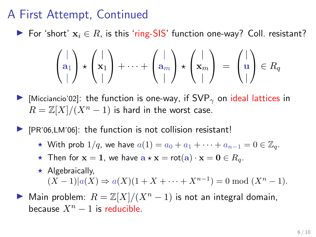For 'short'  $x_i \in R$ , is this 'ring-SIS' function one-way? Coll. resistant?

$$
\begin{pmatrix} | \\ \mathbf{a}_1 \\ | \end{pmatrix} \star \begin{pmatrix} | \\ \mathbf{x}_1 \\ | \end{pmatrix} + \cdots + \begin{pmatrix} | \\ \mathbf{a}_m \\ | \end{pmatrix} \star \begin{pmatrix} | \\ \mathbf{x}_m \\ | \end{pmatrix} = \begin{pmatrix} | \\ \mathbf{u} \\ | \end{pmatrix} \in R_q
$$

I Micciancio'02]: the function is one-way, if  $SVP_{\gamma}$  on ideal lattices in  $R = \mathbb{Z}[X]/(X^n - 1)$  is hard in the worst case.

 $\blacktriangleright$  [PR'06,LM'06]: the function is not collision resistant!

- ★ With prob  $1/q$ , we have  $a(1) = a_0 + a_1 + \cdots + a_{n-1} = 0 \in \mathbb{Z}_q$ .
- $\star$  Then for  $\mathbf{x} = \mathbf{1}$ , we have  $\mathbf{a} \star \mathbf{x} = \text{rot}(\mathbf{a}) \cdot \mathbf{x} = \mathbf{0} \in R_q$ .
- $\star$  Algebraically,  $(X-1)|a(X) \Rightarrow a(X)(1 + X + \cdots + X^{n-1}) = 0 \bmod (X^n - 1).$
- $\triangleright$  Main problem:  $R = \mathbb{Z}[X]/(X^n 1)$  is not an integral domain, because  $X^n - 1$  is reducible.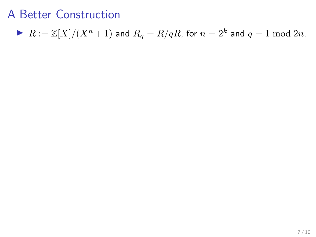$$
\blacktriangleright \ R:=\mathbb{Z}[X]/(X^n+1) \text{ and } R_q=R/qR \text{, for } n=2^k \text{ and } q=1 \bmod 2n.
$$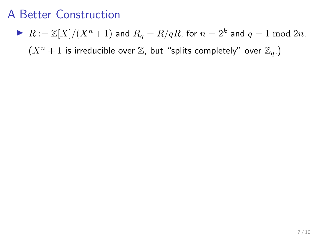$\blacktriangleright$   $R := \mathbb{Z}[X]/(X^n + 1)$  and  $R_q = R/qR$ , for  $n = 2^k$  and  $q = 1 \bmod 2n$ .  $(X<sup>n</sup> + 1$  is irreducible over  $\mathbb{Z}$ , but "splits completely" over  $\mathbb{Z}_q$ .)

7 / 10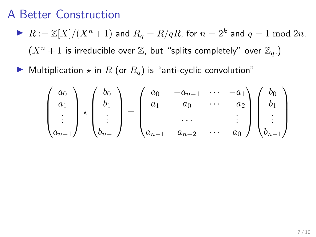- $\blacktriangleright$   $R := \mathbb{Z}[X]/(X^n + 1)$  and  $R_q = R/qR$ , for  $n = 2^k$  and  $q = 1 \bmod 2n$ .  $(X<sup>n</sup> + 1$  is irreducible over  $\mathbb{Z}$ , but "splits completely" over  $\mathbb{Z}_q$ .)
- $\blacktriangleright$  Multiplication  $\star$  in R (or  $R_q$ ) is "anti-cyclic convolution"

$$
\begin{pmatrix} a_0 \\ a_1 \\ \vdots \\ a_{n-1} \end{pmatrix} \star \begin{pmatrix} b_0 \\ b_1 \\ \vdots \\ b_{n-1} \end{pmatrix} = \begin{pmatrix} a_0 & -a_{n-1} & \cdots & -a_1 \\ a_1 & a_0 & \cdots & -a_2 \\ \cdots & \cdots & \cdots & \cdots \\ a_{n-1} & a_{n-2} & \cdots & a_0 \end{pmatrix} \begin{pmatrix} b_0 \\ b_1 \\ \vdots \\ b_{n-1} \end{pmatrix}
$$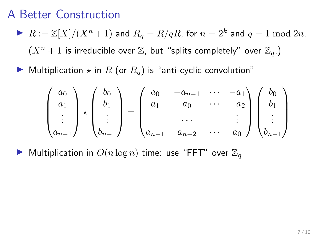- $\blacktriangleright$   $R := \mathbb{Z}[X]/(X^n + 1)$  and  $R_q = R/qR$ , for  $n = 2^k$  and  $q = 1 \bmod 2n$ .  $(X<sup>n</sup> + 1$  is irreducible over  $\mathbb{Z}$ , but "splits completely" over  $\mathbb{Z}_q$ .)
- $\blacktriangleright$  Multiplication  $\star$  in R (or  $R_q$ ) is "anti-cyclic convolution"

$$
\begin{pmatrix} a_0 \\ a_1 \\ \vdots \\ a_{n-1} \end{pmatrix} \star \begin{pmatrix} b_0 \\ b_1 \\ \vdots \\ b_{n-1} \end{pmatrix} = \begin{pmatrix} a_0 & -a_{n-1} & \cdots & -a_1 \\ a_1 & a_0 & \cdots & -a_2 \\ \cdots & \cdots & \cdots & \cdots \\ a_{n-1} & a_{n-2} & \cdots & a_0 \end{pmatrix} \begin{pmatrix} b_0 \\ b_1 \\ \vdots \\ b_{n-1} \end{pmatrix}
$$

 $\blacktriangleright$  Multiplication in  $O(n \log n)$  time: use "FFT" over  $\mathbb{Z}_q$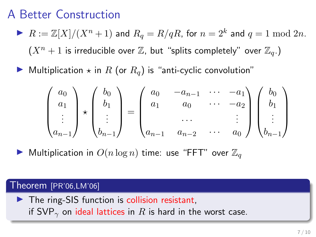- $\blacktriangleright$   $R := \mathbb{Z}[X]/(X^n + 1)$  and  $R_q = R/qR$ , for  $n = 2^k$  and  $q = 1 \bmod 2n$ .  $(X^n + 1)$  is irreducible over  $\mathbb{Z}$ , but "splits completely" over  $\mathbb{Z}_q$ .)
- $\blacktriangleright$  Multiplication  $\star$  in R (or  $R_q$ ) is "anti-cyclic convolution"

$$
\begin{pmatrix} a_0 \\ a_1 \\ \vdots \\ a_{n-1} \end{pmatrix} \star \begin{pmatrix} b_0 \\ b_1 \\ \vdots \\ b_{n-1} \end{pmatrix} = \begin{pmatrix} a_0 & -a_{n-1} & \cdots & -a_1 \\ a_1 & a_0 & \cdots & -a_2 \\ \cdots & \cdots & \cdots & \cdots \\ a_{n-1} & a_{n-2} & \cdots & a_0 \end{pmatrix} \begin{pmatrix} b_0 \\ b_1 \\ \vdots \\ b_{n-1} \end{pmatrix}
$$

 $\blacktriangleright$  Multiplication in  $O(n \log n)$  time: use "FFT" over  $\mathbb{Z}_q$ 

#### Theorem [PR'06,LM'06]

 $\blacktriangleright$  The ring-SIS function is collision resistant, if SVP<sub> $\gamma$ </sub> on ideal lattices in R is hard in the worst case.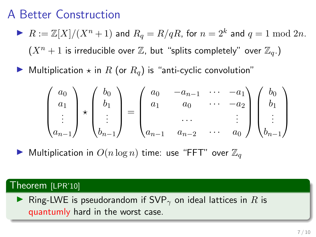- $\blacktriangleright$   $R := \mathbb{Z}[X]/(X^n + 1)$  and  $R_q = R/qR$ , for  $n = 2^k$  and  $q = 1 \bmod 2n$ .  $(X^n + 1)$  is irreducible over  $\mathbb{Z}$ , but "splits completely" over  $\mathbb{Z}_q$ .)
- $\blacktriangleright$  Multiplication  $\star$  in R (or  $R_q$ ) is "anti-cyclic convolution"

$$
\begin{pmatrix} a_0 \\ a_1 \\ \vdots \\ a_{n-1} \end{pmatrix} \star \begin{pmatrix} b_0 \\ b_1 \\ \vdots \\ b_{n-1} \end{pmatrix} = \begin{pmatrix} a_0 & -a_{n-1} & \cdots & -a_1 \\ a_1 & a_0 & \cdots & -a_2 \\ \cdots & \cdots & \cdots & \cdots \\ a_{n-1} & a_{n-2} & \cdots & a_0 \end{pmatrix} \begin{pmatrix} b_0 \\ b_1 \\ \vdots \\ b_{n-1} \end{pmatrix}
$$

 $\blacktriangleright$  Multiplication in  $O(n \log n)$  time: use "FFT" over  $\mathbb{Z}_q$ 

#### Theorem [LPR'10]

► Ring-LWE is pseudorandom if SVP<sub> $\gamma$ </sub> on ideal lattices in R is quantumly hard in the worst case.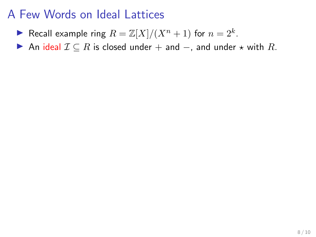- Recall example ring  $R = \mathbb{Z}[X]/(X^n + 1)$  for  $n = 2^k$ .
- An ideal  $\mathcal{I} \subseteq R$  is closed under  $+$  and  $-$ , and under  $\star$  with  $R$ .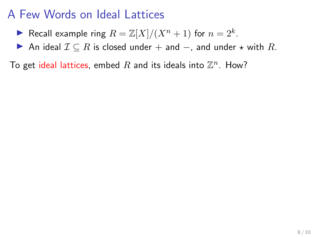- Recall example ring  $R = \mathbb{Z}[X]/(X^n + 1)$  for  $n = 2^k$ .
- An ideal  $\mathcal{I} \subseteq R$  is closed under + and  $-$ , and under  $\star$  with R.

To get ideal lattices, embed  $R$  and its ideals into  $\mathbb{Z}^n$ . How?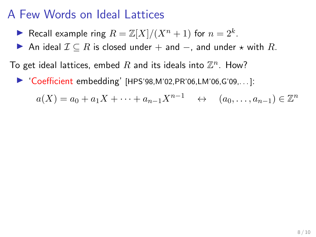- Recall example ring  $R = \mathbb{Z}[X]/(X^n + 1)$  for  $n = 2^k$ .
- An ideal  $\mathcal{I} \subseteq R$  is closed under + and  $-$ , and under  $\star$  with R.

To get ideal lattices, embed  $R$  and its ideals into  $\mathbb{Z}^n$ . How?

 $\blacktriangleright$  'Coefficient embedding' [HPS'98,M'02,PR'06,LM'06,G'09,...]:

$$
a(X) = a_0 + a_1X + \dots + a_{n-1}X^{n-1} \quad \leftrightarrow \quad (a_0, \dots, a_{n-1}) \in \mathbb{Z}^n
$$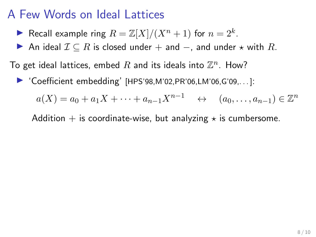- Recall example ring  $R = \mathbb{Z}[X]/(X^n + 1)$  for  $n = 2^k$ .
- ▶ An ideal  $\mathcal{I} \subseteq R$  is closed under + and -, and under  $\star$  with R.

To get ideal lattices, embed  $R$  and its ideals into  $\mathbb{Z}^n$ . How?

 $\triangleright$  'Coefficient embedding' [HPS'98, M'02, PR'06, LM'06, G'09, ...]:

 $a(X) = a_0 + a_1X + \cdots + a_{n-1}X^{n-1}$   $\leftrightarrow$   $(a_0, \ldots, a_{n-1}) \in \mathbb{Z}^n$ 

Addition  $+$  is coordinate-wise, but analyzing  $\star$  is cumbersome.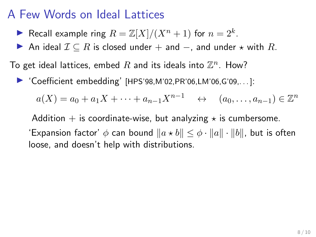- Recall example ring  $R = \mathbb{Z}[X]/(X^n + 1)$  for  $n = 2^k$ .
- ▶ An ideal  $\mathcal{I} \subseteq R$  is closed under + and -, and under  $\star$  with R.

To get ideal lattices, embed  $R$  and its ideals into  $\mathbb{Z}^n$ . How?

 $\blacktriangleright$  'Coefficient embedding' [HPS'98, M'02, PR'06, LM'06, G'09, ...]:

$$
a(X) = a_0 + a_1 X + \dots + a_{n-1} X^{n-1} \quad \leftrightarrow \quad (a_0, \dots, a_{n-1}) \in \mathbb{Z}^n
$$

Addition  $+$  is coordinate-wise, but analyzing  $\star$  is cumbersome. 'Expansion factor'  $\phi$  can bound  $\|a \star b\| \leq \phi \cdot \|a\| \cdot \|b\|$ , but is often loose, and doesn't help with distributions.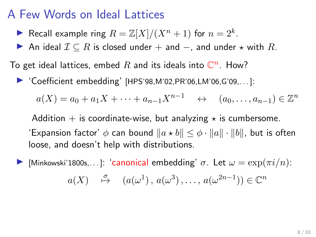- Recall example ring  $R = \mathbb{Z}[X]/(X^n + 1)$  for  $n = 2^k$ .
- ▶ An ideal  $\mathcal{I} \subseteq R$  is closed under + and -, and under  $\star$  with R.

To get ideal lattices, embed  $R$  and its ideals into  $\mathbb{C}^n$ . How?

 $\triangleright$  'Coefficient embedding' [HPS'98, M'02, PR'06, LM'06, G'09, ...]:

$$
a(X) = a_0 + a_1 X + \dots + a_{n-1} X^{n-1} \quad \leftrightarrow \quad (a_0, \dots, a_{n-1}) \in \mathbb{Z}^n
$$

Addition  $+$  is coordinate-wise, but analyzing  $\star$  is cumbersome. 'Expansion factor'  $\phi$  can bound  $\|a \star b\| \leq \phi \cdot \|a\| \cdot \|b\|$ , but is often loose, and doesn't help with distributions.

[Minkowski'1800s,..]: 'canonical embedding'  $\sigma$ . Let  $\omega = \exp(\pi i/n)$ :  $a(X) \stackrel{\sigma}{\mapsto} (a(\omega^1), a(\omega^3), \dots, a(\omega^{2n-1})) \in \mathbb{C}^n$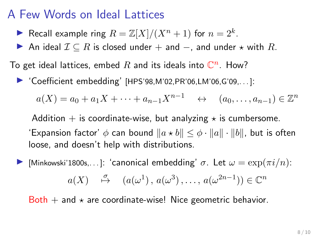- Recall example ring  $R = \mathbb{Z}[X]/(X^n + 1)$  for  $n = 2^k$ .
- ▶ An ideal  $\mathcal{I} \subseteq R$  is closed under  $+$  and  $-$ , and under  $\star$  with  $R$ .

To get ideal lattices, embed  $R$  and its ideals into  $\mathbb{C}^n$ . How?

 $\triangleright$  'Coefficient embedding' [HPS'98, M'02, PR'06, LM'06, G'09, ...]:

$$
a(X) = a_0 + a_1 X + \dots + a_{n-1} X^{n-1} \quad \leftrightarrow \quad (a_0, \dots, a_{n-1}) \in \mathbb{Z}^n
$$

Addition  $+$  is coordinate-wise, but analyzing  $\star$  is cumbersome. 'Expansion factor'  $\phi$  can bound  $\|a \star b\| \leq \phi \cdot \|a\| \cdot \|b\|$ , but is often loose, and doesn't help with distributions.

[Minkowski'1800s,...]: 'canonical embedding'  $\sigma$ . Let  $\omega = \exp(\pi i/n)$ :  $a(X) \stackrel{\sigma}{\mapsto} (a(\omega^1), a(\omega^3), \dots, a(\omega^{2n-1})) \in \mathbb{C}^n$ 

Both  $+$  and  $\star$  are coordinate-wise! Nice geometric behavior.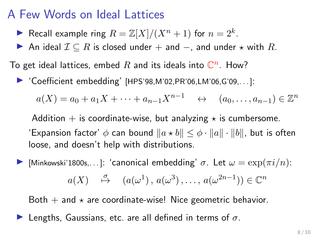- Recall example ring  $R = \mathbb{Z}[X]/(X^n + 1)$  for  $n = 2^k$ .
- ▶ An ideal  $\mathcal{I} \subseteq R$  is closed under + and -, and under  $\star$  with R.

To get ideal lattices, embed  $R$  and its ideals into  $\mathbb{C}^n$ . How?

 $\triangleright$  'Coefficient embedding' [HPS'98, M'02, PR'06, LM'06, G'09, ...]:

$$
a(X) = a_0 + a_1 X + \dots + a_{n-1} X^{n-1} \quad \leftrightarrow \quad (a_0, \dots, a_{n-1}) \in \mathbb{Z}^n
$$

Addition  $+$  is coordinate-wise, but analyzing  $\star$  is cumbersome. 'Expansion factor'  $\phi$  can bound  $||a \star b|| \leq \phi \cdot ||a|| \cdot ||b||$ , but is often loose, and doesn't help with distributions.

[Minkowski'1800s,...]: 'canonical embedding'  $\sigma$ . Let  $\omega = \exp(\pi i/n)$ :

$$
a(X) \xrightarrow{\sigma} (a(\omega^1), a(\omega^3), \dots, a(\omega^{2n-1})) \in \mathbb{C}^n
$$

Both  $+$  and  $\star$  are coordinate-wise! Nice geometric behavior.

**I** Lengths, Gaussians, etc. are all defined in terms of  $\sigma$ .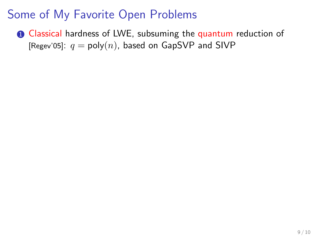**1** Classical hardness of LWE, subsuming the quantum reduction of [Regev'05]:  $q = \text{poly}(n)$ , based on GapSVP and SIVP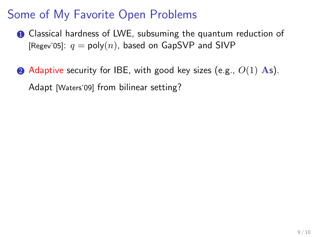- **1** Classical hardness of LWE, subsuming the quantum reduction of [Regev'05]:  $q = \text{poly}(n)$ , based on GapSVP and SIVP
- $\odot$  Adaptive security for IBE, with good key sizes (e.g.,  $O(1)$  As). Adapt [Waters'09] from bilinear setting?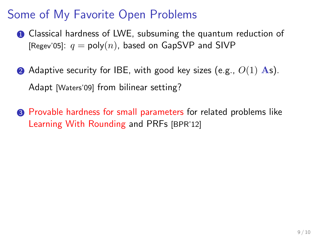- **1** Classical hardness of LWE, subsuming the quantum reduction of [Regev'05]:  $q = \text{poly}(n)$ , based on GapSVP and SIVP
- $\bullet$  Adaptive security for IBE, with good key sizes (e.g.,  $O(1)$  As). Adapt [Waters'09] from bilinear setting?
- <sup>3</sup> Provable hardness for small parameters for related problems like Learning With Rounding and PRFs [BPR'12]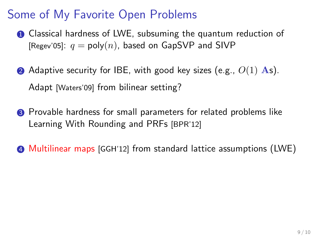- **1** Classical hardness of LWE, subsuming the quantum reduction of [Regev'05]:  $q = \text{poly}(n)$ , based on GapSVP and SIVP
- $\bullet$  Adaptive security for IBE, with good key sizes (e.g.,  $O(1)$  As). Adapt [Waters'09] from bilinear setting?
- <sup>3</sup> Provable hardness for small parameters for related problems like Learning With Rounding and PRFs [BPR'12]

4 Multilinear maps [GGH'12] from standard lattice assumptions (LWE)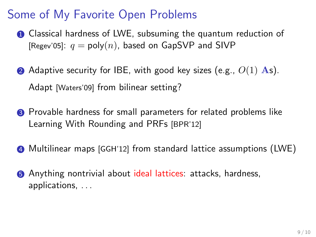- **1** Classical hardness of LWE, subsuming the quantum reduction of [Regev'05]:  $q = \text{poly}(n)$ , based on GapSVP and SIVP
- $\bullet$  Adaptive security for IBE, with good key sizes (e.g.,  $O(1)$  As). Adapt [Waters'09] from bilinear setting?
- <sup>3</sup> Provable hardness for small parameters for related problems like Learning With Rounding and PRFs [BPR'12]
- 4 Multilinear maps [GGH'12] from standard lattice assumptions (LWE)
- **6** Anything nontrivial about ideal lattices: attacks, hardness, applications, . . .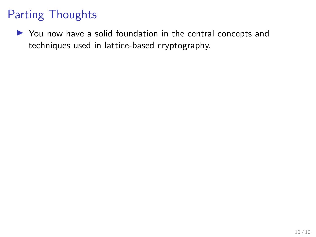I You now have a solid foundation in the central concepts and techniques used in lattice-based cryptography.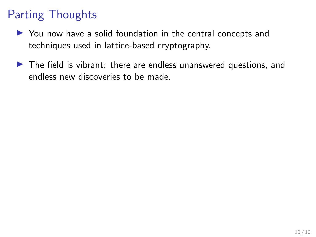- $\triangleright$  You now have a solid foundation in the central concepts and techniques used in lattice-based cryptography.
- $\blacktriangleright$  The field is vibrant: there are endless unanswered questions, and endless new discoveries to be made.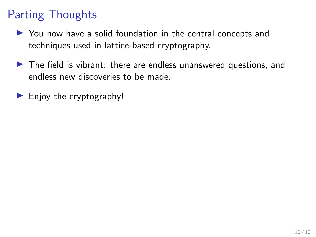- $\triangleright$  You now have a solid foundation in the central concepts and techniques used in lattice-based cryptography.
- $\blacktriangleright$  The field is vibrant: there are endless unanswered questions, and endless new discoveries to be made.
- $\blacktriangleright$  Enjoy the cryptography!